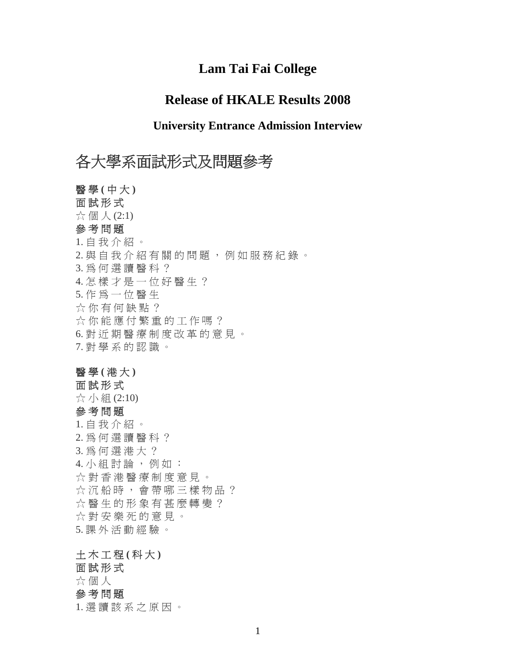## **Lam Tai Fai College**

## **Release of HKALE Results 2008**

## **University Entrance Admission Interview**

# 各大學系面試形式及問題參考

醫 學 **(** 中 大 **)**  面試形式 ☆ 個 人 (2:1) 參考問題 1. 自 我 介 紹 。 2. 與 自 我 介 紹 有 關 的 問 題 , 例 如 服 務 紀 錄 。 3. 為 何 選 讀 醫 科 ? 4. 怎樣才是一位好醫生? 5. 作 為 一 位 醫 生 ☆ 你 有 何 缺 點 ? ☆ 你 能 應 付 繁 重 的 工 作 嗎 ? 6. 對 近 期 醫 療 制 度 改 革 的 意 見 。 7. 對 學 系 的 認 識 。

#### 醫 學 **(** 港 大 **)**

面試形式 ☆ 小 組 (2:10) 參考問題 1. 自 我 介 紹 。 2. 為 何 選 讀 醫 科 ? 3. 為 何 選 港 大 ? 4. 小 組 討 論 , 例 如 : ☆ 對 香 港 醫 療 制 度 意 見 。 ☆沉船時,會帶哪三樣物品? ☆醫生的形象有甚麼轉變? ☆ 對 安 樂 死 的 意 見 。 5. 課 外 活 動 經 驗 。

## 土 木 工 程 **(** 科 大 **)**

面試形式 ☆ 個 人 參 考 問 題 1. 選 讀 該 系 之 原 因 。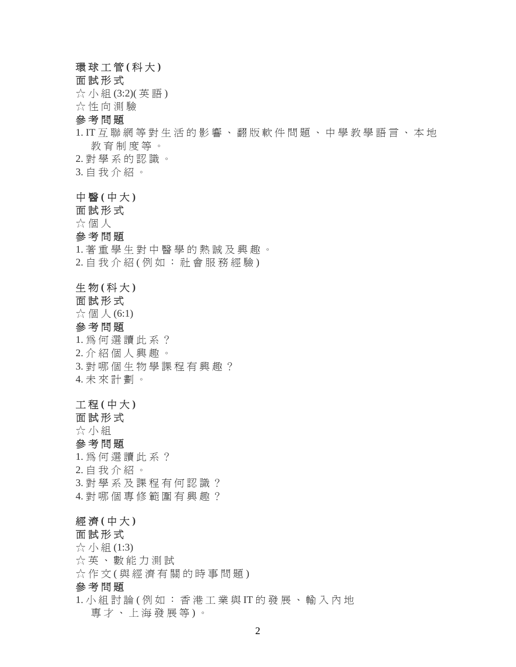#### 環 球 工 管 **(** 科 大 **)**

面試形式

☆ 小組 (3:2)(英語)

☆ 性 向 測 驗

#### 參考問題

## 1. IT 互 聯 網 等 對 生 活 的 影 響 、 翻 版 軟 件 問 題 、 中 學 教 學 語 言 、 本 地 教 育 制 度 等 。

2. 對 學 系 的 認 識 。

3. 自 我 介 紹 。

#### 中 醫 **(** 中 大 **)**

面試形式

#### ☆ 個 人

#### 參考問題

1. 著重學生對中醫學的熱誠及興趣。 2. 自我介紹(例如: 社會服務經驗)

#### 生 物 **(** 科 大 **)**

#### 面試形式

 $\chi$  個 人 (6:1)

#### 參 考 問 題

1. 為 何 選 讀 此 系 ? 2. 介 紹 個 人 興 趣 。 3. 對 哪 個 生 物 學 課 程 有 興 趣 ? 4. 未 來 計 劃 。

#### 工 程 **(** 中 大 **)**

面試形式

☆ 小 組

#### 參 考 問 題

1. 為 何 選 讀 此 系 ? 2. 自 我 介 紹 。 3. 對 學 系 及 課 程 有 何 認 識 ? 4. 對哪個專修範圍有興趣?

#### 經 濟 **(** 中 大 **)**

#### 面試形式

☆ 小組 (1:3) ☆ 英、 數 能 力 測 試 ☆作文(與經濟有關的時事問題) 參考問題

1. 小 組 討 論 ( 例 如 : 香 港 工 業 與 IT 的 發 展 、 輸 入 內 地 專才、上海發展等)。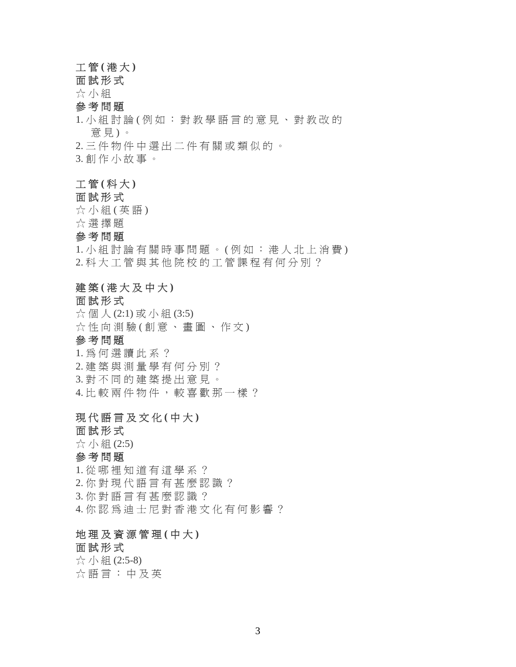#### 工 管 **(** 港 大 **)**

## 面試形式

☆ 小 組

## 參考問題

1. 小 組 討 論 ( 例 如 : 對 教 學 語 言 的 意 見 、 對 教 改 的 意 見 ) 。

2. 三 件 物 件 中 選 出 二 件 有 關 或 類 似 的 。

3. 創 作 小 故 事 。

#### 工 管 **(** 科 大 **)**

#### 面試形式

☆ 小組 (英語)

☆ 選 擇 題

#### 參考問題

1. 小 組 討 論 有 關 時 事 問 題 。(例 如 : 港 人 北 上 消 費) 2. 科 大 工 管 與 其 他 院 校 的 工 管 課 程 有 何 分 別 ?

#### 建築(港大及中大)

#### 面試形式

☆個人(2:1)或小組(3:5) ☆性向測驗(創意、畫圖、作文) 參考問題 1. 為 何 選 讀 此 系 ? 2. 建 築 與 測 量 學 有 何 分 別 ? 3. 對不同的建築提出意見。 4. 比較兩件物件,較喜歡那一樣?

## 現 代 語 言 及 文 化 **(** 中 大 **)**

面試形式

☆ 小 組 (2:5)

## 參考問題

1. 從 哪 裡 知 道 有 這 學 系 ? 2. 你 對 現 代 語 言 有 甚 麼 認 識 ? 3. 你 對 語 言 有 甚 麼 認 識 ? 4. 你認 為 迪 士 尼 對 香 港 文 化 有 何 影 響 ?

## 地 理 及 資 源 管 理 **(** 中 大 **)**

## 面試形式

☆ 小 組 (2:5-8) ☆ 語言: 中及英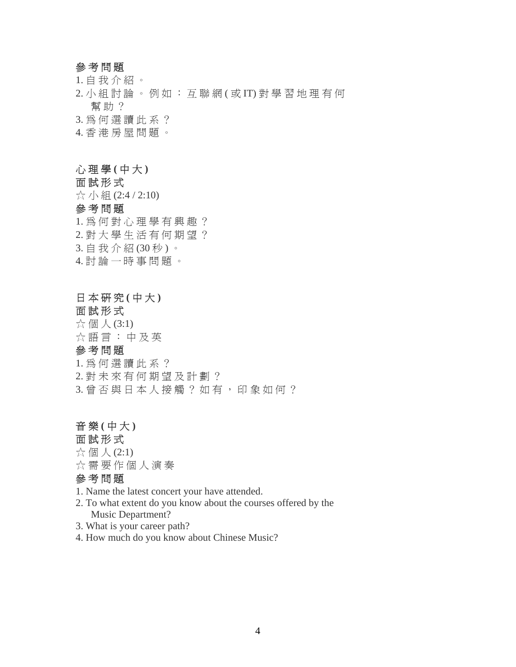#### 參 考 問 題

1. 自 我 介 紹 。

2. 小 組 討 論 。 例 如 : 互 聯 網 ( 或 IT) 對 學 習 地 理 有 何 幫助? 3. 為 何 選 讀 此 系 ?

4. 香 港 房 屋 問 題 。

#### 心 理 學 **(** 中 大 **)**

面試形式

☆ 小 組 (2:4 / 2:10)

## 參 考 問 題

1. 為 何 對 心 理 學 有 興 趣 ? 2. 對 大 學 生 活 有 何 期 望 ? 3. 自 我 介 紹 (30 秒 ) 。 4. 討 論 一 時 事 問 題 。

## 日 本 研 究 **(** 中 大 **)**

面試形式 ☆ 個 人 (3:1) ☆ 語言:中及英

#### 參 考 問 題

- 1. 為 何 選 讀 此 系 ?
- 2. 對 未 來 有 何 期 望 及 計 劃 ?
- 3. 曾 否 與 日 本 人 接 觸 ? 如 有 , 印 象 如 何 ?

#### 音 樂 **(** 中 大 **)**

#### 面試形式

- $\chi$  個 人 (2:1)
- ☆ 需 要 作 個 人 演 奏

#### 參 考 問 題

1. Name the latest concert your have attended.

- 2. To what extent do you know about the courses offered by the Music Department?
- 3. What is your career path?
- 4. How much do you know about Chinese Music?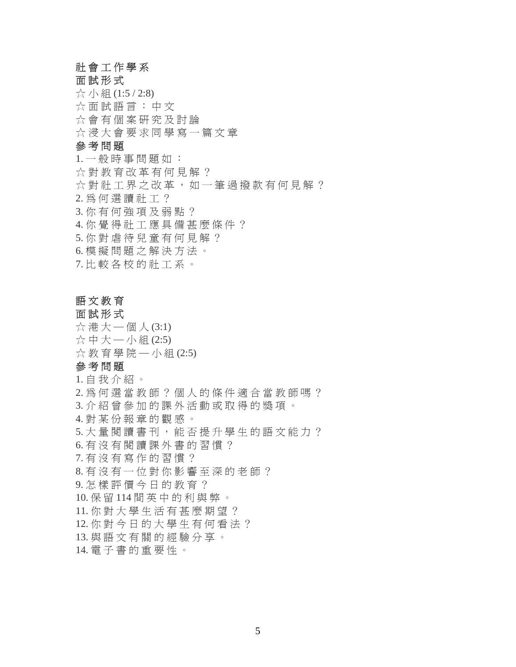## 社 會 工 作 學 系

面試形式 ☆ 小 組 (1:5 / 2:8) ☆ 面試語言: 中文 ☆ 會 有 個 案 研 究 及 討 論 ☆ 浸 大 會 要 求 同 學 寫 一 篇 文 章 參 考 問 題 1. 一 般 時 事 問 題 如 : ☆ 對 教 育 改 革 有 何 見 解 ? ☆ 對 社 工 界 之 改 革 , 如 一 筆 過 撥 款 有 何 見 解 ? 2. 為 何 選 讀 社 工 ? 3. 你 有 何 強 項 及 弱 點 ? 4. 你 覺 得 社 工 應 具 備 甚 麼 條 件 ? 5. 你 對 虐 待 兒 童 有 何 見 解 ? 6. 模 擬 問 題 之 解 決 方 法 。

7. 比 較 各 校 的 社 工 系 。

#### 語 文 教 育

面試形式  $\chi$ 港大一個人 $(3:1)$ ☆ 中 大 — 小 組 (2:5) ☆ 教 育 學 院 — 小 組 (2:5) 參 考 問 題 1. 自 我 介 紹 。 2. 為 何 選 當 教 師 ? 個 人 的 條 件 適 合 當 教 師 嗎 ? 3. 介 紹 曾 參 加 的 課 外 活 動 或 取 得 的 獎 項 。 4. 對 某 份 報 章 的 觀 感 。 5. 大量閱讀書刊, 能否提升學生的語文能力? 6. 有 沒 有 閱 讀 課 外 書 的 習 慣 ? 7. 有 沒 有 寫 作 的 習 慣 ? 8. 有 沒 有 一 位 對 你 影 響 至 深 的 老 師 ? 9. 怎 樣 評 價 今 日 的 教 育 ? 10. 保 留 114 間 英 中 的 利 與 弊 。 11. 你 對 大 學 生 活 有 甚 麼 期 望 ? 12. 你 對 今 日 的 大 學 生 有 何 看 法 ? 13. 與 語 文 有 關 的 經 驗 分 享 。 14. 電 子 書 的 重 要 性 。